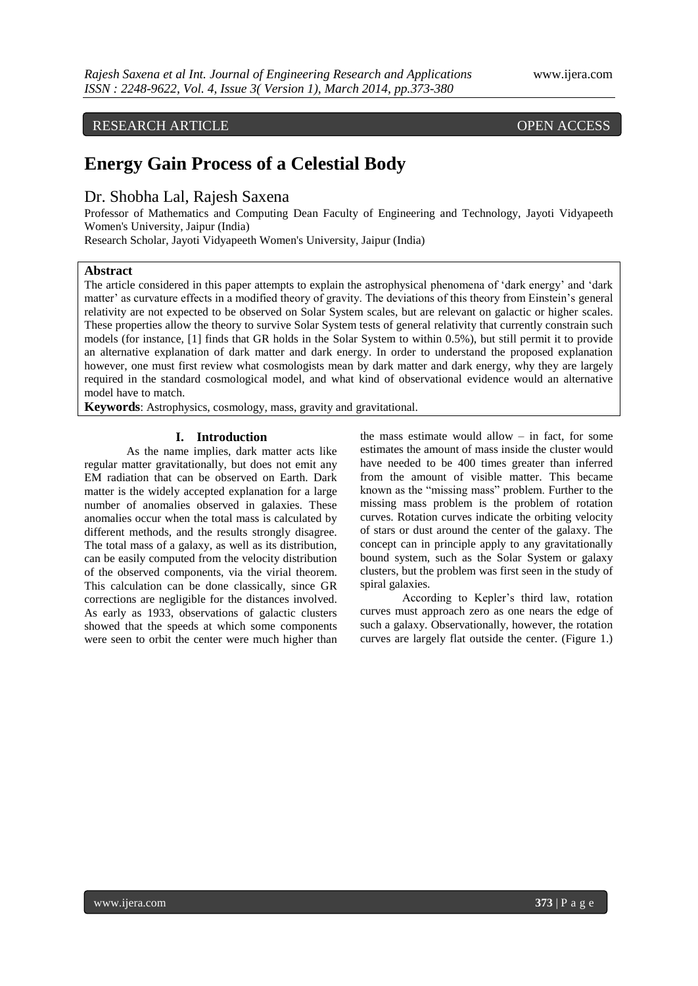# RESEARCH ARTICLE OPEN ACCESS

# **Energy Gain Process of a Celestial Body**

Dr. Shobha Lal, Rajesh Saxena

Professor of Mathematics and Computing Dean Faculty of Engineering and Technology, Jayoti Vidyapeeth Women's University, Jaipur (India)

Research Scholar, Jayoti Vidyapeeth Women's University, Jaipur (India)

### **Abstract**

The article considered in this paper attempts to explain the astrophysical phenomena of "dark energy" and "dark matter' as curvature effects in a modified theory of gravity. The deviations of this theory from Einstein's general relativity are not expected to be observed on Solar System scales, but are relevant on galactic or higher scales. These properties allow the theory to survive Solar System tests of general relativity that currently constrain such models (for instance, [1] finds that GR holds in the Solar System to within 0.5%), but still permit it to provide an alternative explanation of dark matter and dark energy. In order to understand the proposed explanation however, one must first review what cosmologists mean by dark matter and dark energy, why they are largely required in the standard cosmological model, and what kind of observational evidence would an alternative model have to match.

**Keywords**: Astrophysics, cosmology, mass, gravity and gravitational.

#### **I. Introduction**

As the name implies, dark matter acts like regular matter gravitationally, but does not emit any EM radiation that can be observed on Earth. Dark matter is the widely accepted explanation for a large number of anomalies observed in galaxies. These anomalies occur when the total mass is calculated by different methods, and the results strongly disagree. The total mass of a galaxy, as well as its distribution, can be easily computed from the velocity distribution of the observed components, via the virial theorem. This calculation can be done classically, since GR corrections are negligible for the distances involved. As early as 1933, observations of galactic clusters showed that the speeds at which some components were seen to orbit the center were much higher than

the mass estimate would allow  $-$  in fact, for some estimates the amount of mass inside the cluster would have needed to be 400 times greater than inferred from the amount of visible matter. This became known as the "missing mass" problem. Further to the missing mass problem is the problem of rotation curves. Rotation curves indicate the orbiting velocity of stars or dust around the center of the galaxy. The concept can in principle apply to any gravitationally bound system, such as the Solar System or galaxy clusters, but the problem was first seen in the study of spiral galaxies.

According to Kepler"s third law, rotation curves must approach zero as one nears the edge of such a galaxy. Observationally, however, the rotation curves are largely flat outside the center. (Figure 1.)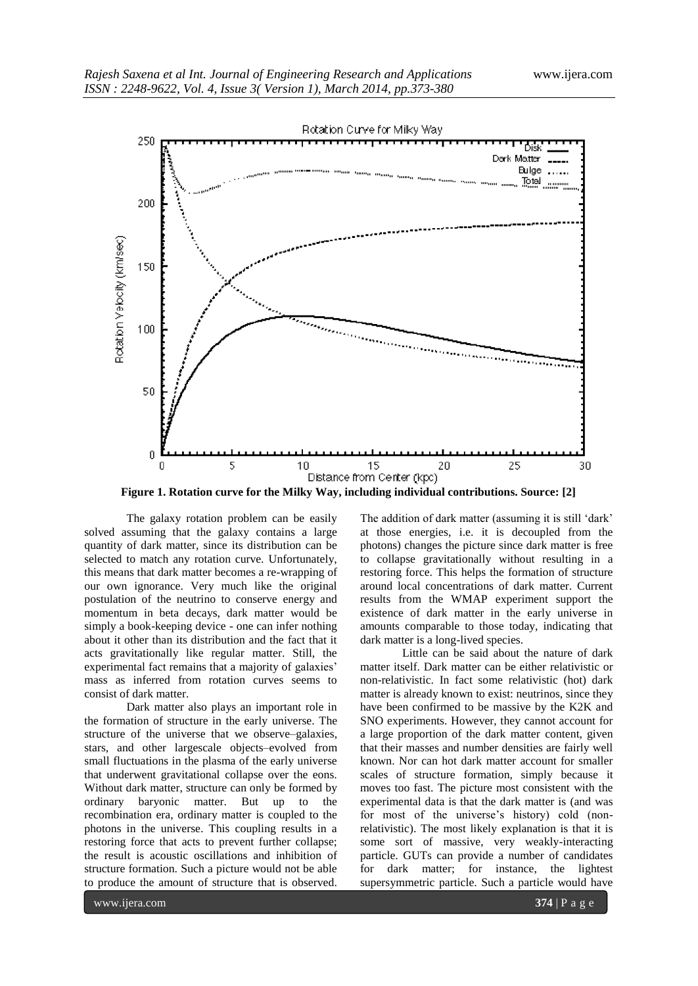

**Figure 1. Rotation curve for the Milky Way, including individual contributions. Source: [2]**

The galaxy rotation problem can be easily solved assuming that the galaxy contains a large quantity of dark matter, since its distribution can be selected to match any rotation curve. Unfortunately, this means that dark matter becomes a re-wrapping of our own ignorance. Very much like the original postulation of the neutrino to conserve energy and momentum in beta decays, dark matter would be simply a book-keeping device - one can infer nothing about it other than its distribution and the fact that it acts gravitationally like regular matter. Still, the experimental fact remains that a majority of galaxies' mass as inferred from rotation curves seems to consist of dark matter.

Dark matter also plays an important role in the formation of structure in the early universe. The structure of the universe that we observe–galaxies, stars, and other largescale objects–evolved from small fluctuations in the plasma of the early universe that underwent gravitational collapse over the eons. Without dark matter, structure can only be formed by ordinary baryonic matter. But up to the recombination era, ordinary matter is coupled to the photons in the universe. This coupling results in a restoring force that acts to prevent further collapse; the result is acoustic oscillations and inhibition of structure formation. Such a picture would not be able to produce the amount of structure that is observed.

The addition of dark matter (assuming it is still 'dark' at those energies, i.e. it is decoupled from the photons) changes the picture since dark matter is free to collapse gravitationally without resulting in a restoring force. This helps the formation of structure around local concentrations of dark matter. Current results from the WMAP experiment support the existence of dark matter in the early universe in amounts comparable to those today, indicating that dark matter is a long-lived species.

Little can be said about the nature of dark matter itself. Dark matter can be either relativistic or non-relativistic. In fact some relativistic (hot) dark matter is already known to exist: neutrinos, since they have been confirmed to be massive by the K2K and SNO experiments. However, they cannot account for a large proportion of the dark matter content, given that their masses and number densities are fairly well known. Nor can hot dark matter account for smaller scales of structure formation, simply because it moves too fast. The picture most consistent with the experimental data is that the dark matter is (and was for most of the universe's history) cold (nonrelativistic). The most likely explanation is that it is some sort of massive, very weakly-interacting particle. GUTs can provide a number of candidates for dark matter; for instance, the lightest supersymmetric particle. Such a particle would have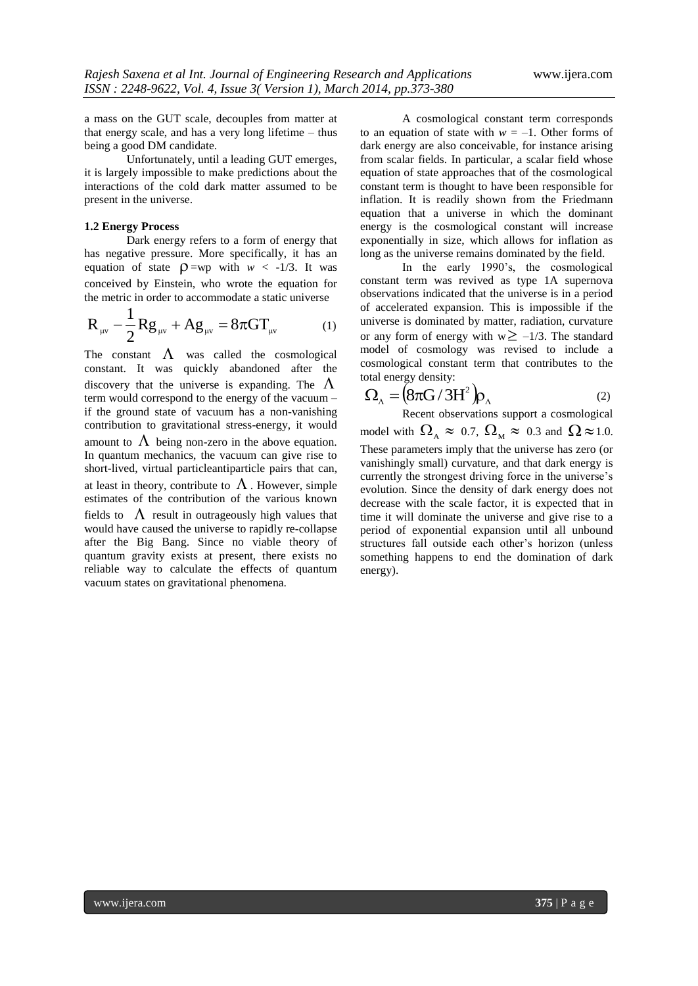a mass on the GUT scale, decouples from matter at that energy scale, and has a very long lifetime – thus being a good DM candidate.

Unfortunately, until a leading GUT emerges, it is largely impossible to make predictions about the interactions of the cold dark matter assumed to be present in the universe.

#### **1.2 Energy Process**

Dark energy refers to a form of energy that has negative pressure. More specifically, it has an equation of state  $\rho = wp$  with  $w < -1/3$ . It was conceived by Einstein, who wrote the equation for the metric in order to accommodate a static universe

$$
R_{\mu\nu} - \frac{1}{2} Rg_{\mu\nu} + Ag_{\mu\nu} = 8\pi G T_{\mu\nu} \tag{1}
$$

The constant  $\Lambda$  was called the cosmological constant. It was quickly abandoned after the discovery that the universe is expanding. The  $\Lambda$ term would correspond to the energy of the vacuum – if the ground state of vacuum has a non-vanishing contribution to gravitational stress-energy, it would amount to  $\Lambda$  being non-zero in the above equation. In quantum mechanics, the vacuum can give rise to short-lived, virtual particleantiparticle pairs that can, at least in theory, contribute to  $\Lambda$ . However, simple estimates of the contribution of the various known fields to  $\Lambda$  result in outrageously high values that would have caused the universe to rapidly re-collapse after the Big Bang. Since no viable theory of quantum gravity exists at present, there exists no reliable way to calculate the effects of quantum vacuum states on gravitational phenomena.

A cosmological constant term corresponds to an equation of state with  $w = -1$ . Other forms of dark energy are also conceivable, for instance arising from scalar fields. In particular, a scalar field whose equation of state approaches that of the cosmological constant term is thought to have been responsible for inflation. It is readily shown from the Friedmann equation that a universe in which the dominant energy is the cosmological constant will increase exponentially in size, which allows for inflation as long as the universe remains dominated by the field.

In the early 1990"s, the cosmological constant term was revived as type 1A supernova observations indicated that the universe is in a period of accelerated expansion. This is impossible if the universe is dominated by matter, radiation, curvature or any form of energy with  $w \ge -1/3$ . The standard model of cosmology was revised to include a cosmological constant term that contributes to the total energy density:

$$
\Omega_{\Lambda} = (8\pi G/3H^2)\rho_{\Lambda}
$$
 (2)

Recent observations support a cosmological model with  $\Omega_A \approx 0.7$ ,  $\Omega_M \approx 0.3$  and  $\Omega \approx 1.0$ . These parameters imply that the universe has zero (or vanishingly small) curvature, and that dark energy is currently the strongest driving force in the universe"s evolution. Since the density of dark energy does not decrease with the scale factor, it is expected that in time it will dominate the universe and give rise to a period of exponential expansion until all unbound structures fall outside each other"s horizon (unless something happens to end the domination of dark energy).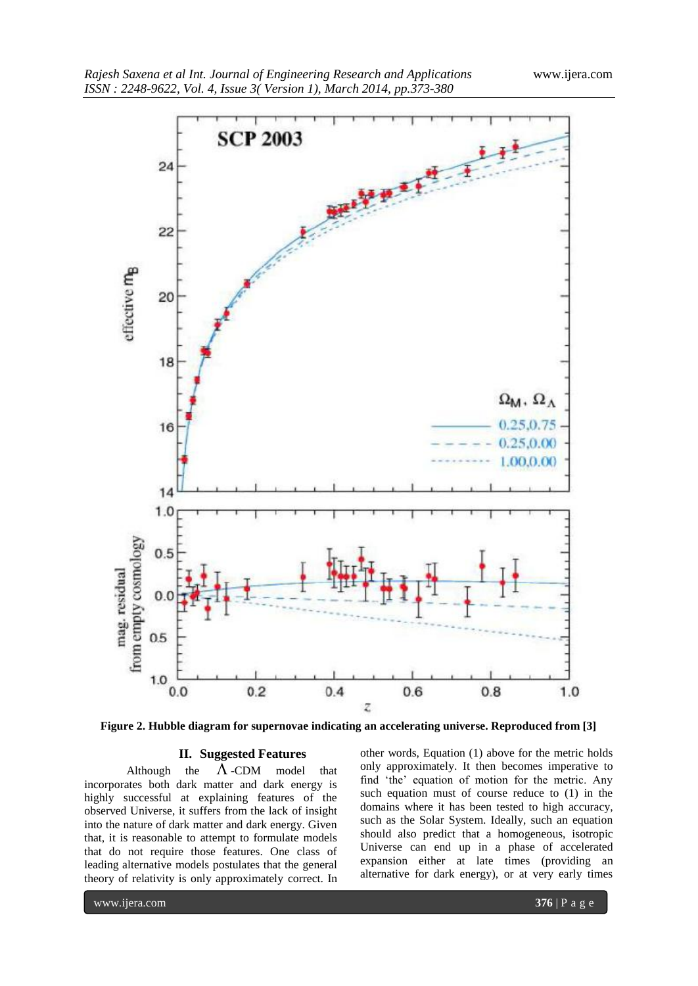

**Figure 2. Hubble diagram for supernovae indicating an accelerating universe. Reproduced from [3]**

### **II. Suggested Features**

Although the  $\Lambda$ -CDM model that incorporates both dark matter and dark energy is highly successful at explaining features of the observed Universe, it suffers from the lack of insight into the nature of dark matter and dark energy. Given that, it is reasonable to attempt to formulate models that do not require those features. One class of leading alternative models postulates that the general theory of relativity is only approximately correct. In

other words, Equation (1) above for the metric holds only approximately. It then becomes imperative to find 'the' equation of motion for the metric. Any such equation must of course reduce to (1) in the domains where it has been tested to high accuracy, such as the Solar System. Ideally, such an equation should also predict that a homogeneous, isotropic Universe can end up in a phase of accelerated expansion either at late times (providing an alternative for dark energy), or at very early times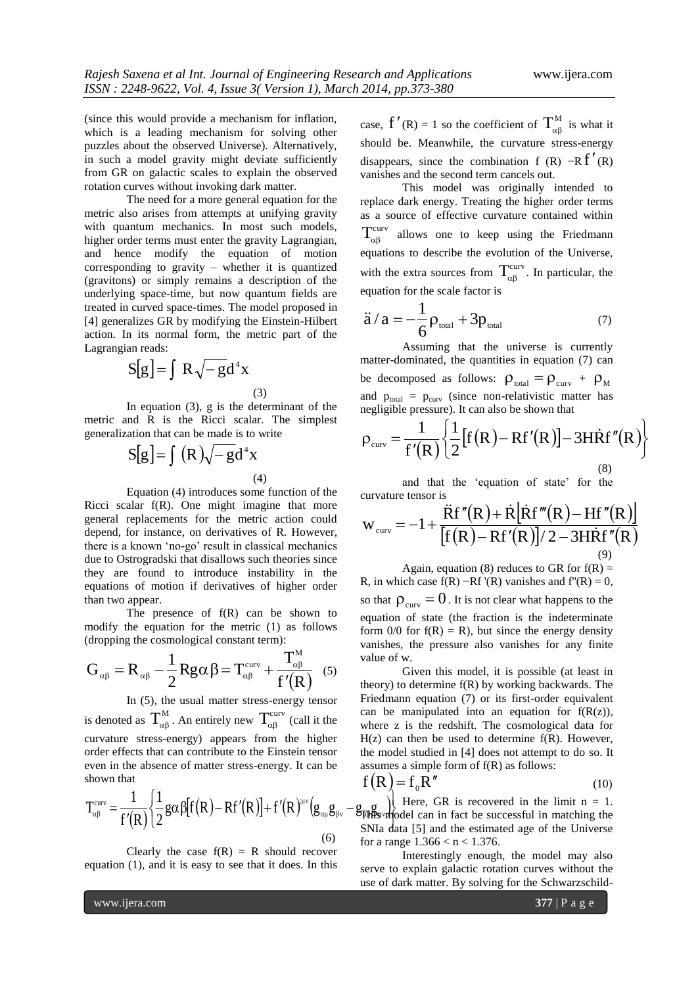(since this would provide a mechanism for inflation, which is a leading mechanism for solving other puzzles about the observed Universe). Alternatively, in such a model gravity might deviate sufficiently from GR on galactic scales to explain the observed rotation curves without invoking dark matter.

The need for a more general equation for the metric also arises from attempts at unifying gravity with quantum mechanics. In most such models, higher order terms must enter the gravity Lagrangian, and hence modify the equation of motion corresponding to gravity – whether it is quantized (gravitons) or simply remains a description of the underlying space-time, but now quantum fields are treated in curved space-times. The model proposed in [4] generalizes GR by modifying the Einstein-Hilbert action. In its normal form, the metric part of the Lagrangian reads:

$$
S[g] = \int R \sqrt{-g} d^4 x
$$
\n(3)

In equation (3), g is the determinant of the metric and R is the Ricci scalar. The simplest generalization that can be made is to write

$$
S[g] = \int (R)\sqrt{-g}d^4x
$$
\n(4)

Equation (4) introduces some function of the Ricci scalar f(R). One might imagine that more general replacements for the metric action could depend, for instance, on derivatives of R. However, there is a known "no-go" result in classical mechanics due to Ostrogradski that disallows such theories since they are found to introduce instability in the equations of motion if derivatives of higher order than two appear.

The presence of  $f(R)$  can be shown to modify the equation for the metric (1) as follows

(dropping the cosmological constant term):  
\n
$$
G_{\alpha\beta} = R_{\alpha\beta} - \frac{1}{2} R g \alpha \beta = T_{\alpha\beta}^{curv} + \frac{T_{\alpha\beta}^{M}}{f'(R)}
$$
\n(5)

In (5), the usual matter stress-energy tensor is denoted as  $T_{\alpha\beta}^{M}$ . An entirely new  $T_{\alpha\beta}^{curv}$  (call it the curvature stress-energy) appears from the higher order effects that can contribute to the Einstein tensor shown that

even in the absence of matter stress-energy. It can be  
\nshown that\n
$$
T_{\alpha\beta}^{\text{curv}} = \frac{1}{f'(R)} \left\{ \frac{1}{2} g \alpha \beta [f(R) - Rf'(R)] + f'(R)^{\mu\nu} (g_{\alpha\mu}g_{\beta\nu} - g_{\beta\nu}g_{\beta\nu}) \right\}
$$
\nSNIa d  
\n6) SNIa d  
\n6) for a ra

Clearly the case  $f(R) = R$  should recover equation (1), and it is easy to see that it does. In this case,  $f'(R) = 1$  so the coefficient of  $T_{\alpha\beta}^{M}$  is what it should be. Meanwhile, the curvature stress-energy disappears, since the combination f (R)  $-Rf'(R)$ vanishes and the second term cancels out.

This model was originally intended to replace dark energy. Treating the higher order terms as a source of effective curvature contained within  $T_{\alpha\beta}^{curv}$ allows one to keep using the Friedmann equations to describe the evolution of the Universe, with the extra sources from  $T_{\alpha\beta}^{\text{curv}}$ . In particular, the equation for the scale factor is

$$
\ddot{a} / a = -\frac{1}{6} \rho_{\text{total}} + 3p_{\text{total}} \tag{7}
$$

Assuming that the universe is currently matter-dominated, the quantities in equation (7) can be decomposed as follows:  $\rho_{\text{total}} = \rho_{\text{curv}} + \rho_{\text{M}}$ and  $p_{\text{total}} = p_{\text{curv}}$  (since non-relativistic matter has negligible pressure). It can also be shown that

$$
\rho_{\text{curv}} = \frac{1}{f'(R)} \left\{ \frac{1}{2} [f(R) - Rf'(R)] - 3H\dot{R}f''(R) \right\}
$$
\n(8)

and that the "equation of state" for the curvature tensor is

$$
w_{\text{curv}} = -1 + \frac{\ddot{R}f''(R) + \dot{R}[\dot{R}f'''(R) - Hf''(R)]}{[f(R) - Rf'(R)]/2 - 3H\dot{R}f''(R)}
$$
\n(9)

Again, equation (8) reduces to GR for  $f(R)$  = R, in which case  $f(R) - Rf'(R)$  vanishes and  $f''(R) = 0$ , so that  $\rho_{\text{curv}} = 0$ . It is not clear what happens to the equation of state (the fraction is the indeterminate form  $0/0$  for  $f(R) = R$ ), but since the energy density vanishes, the pressure also vanishes for any finite

Given this model, it is possible (at least in theory) to determine f(R) by working backwards. The Friedmann equation (7) or its first-order equivalent can be manipulated into an equation for  $f(R(z))$ , where z is the redshift. The cosmological data for  $H(z)$  can then be used to determine  $f(R)$ . However, the model studied in [4] does not attempt to do so. It assumes a simple form of  $f(R)$  as follows:

value of w.

$$
f(R) = f_0 R''
$$
 (10)

יני<br>יי  $\left.\right\}$  $\mathcal{G}_{\beta}$  =  $\mathcal{G}_{\beta}$  =  $\mathcal{G}_{\beta}$  =  $\mathcal{G}_{\beta}$  Here, GR is recovered in the limit n = 1. This whole can in fact be successful in matching the SNIa data [5] and the estimated age of the Universe for a range  $1.366 < n < 1.376$ .

> Interestingly enough, the model may also serve to explain galactic rotation curves without the use of dark matter. By solving for the Schwarzschild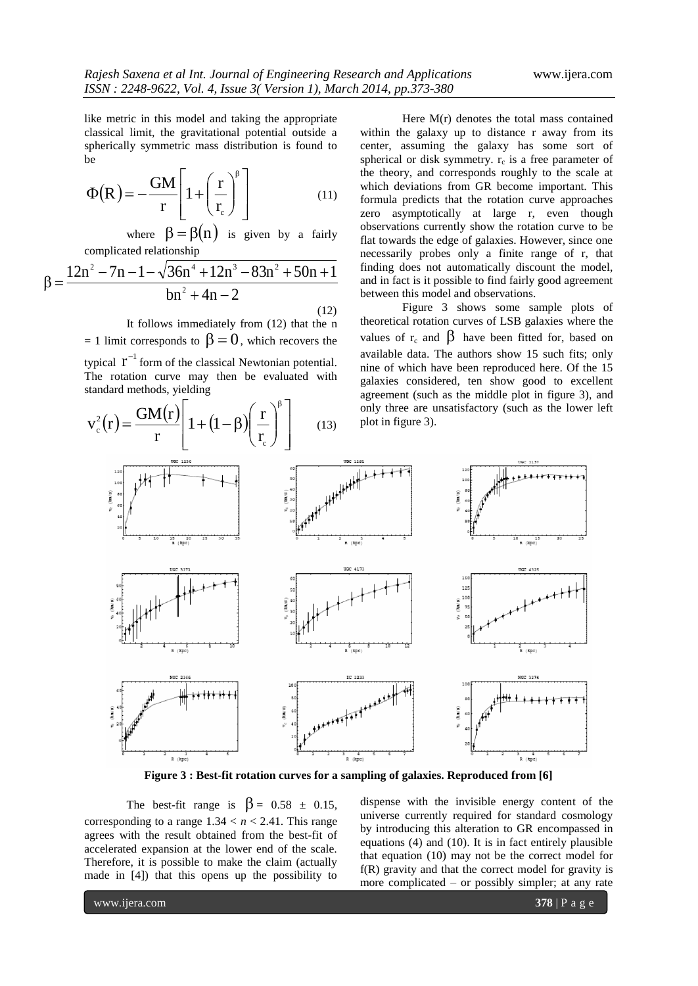like metric in this model and taking the appropriate classical limit, the gravitational potential outside a spherically symmetric mass distribution is found to be

$$
\Phi(R) = -\frac{GM}{r} \left[ 1 + \left(\frac{r}{r_c}\right)^{\beta} \right]
$$
\n(11)

where  $\beta = \beta(n)$  is given by a fairly complicated relationship

$$
\beta = \frac{12n^2 - 7n - 1 - \sqrt{36n^4 + 12n^3 - 83n^2 + 50n + 1}}{bn^2 + 4n - 2}
$$

 (12) It follows immediately from (12) that the n  $= 1$  limit corresponds to  $\beta = 0$ , which recovers the typical  $r^{-1}$  form of the classical Newtonian potential.

The rotation curve may then be evaluated with standard methods, yielding

$$
v_c^2(r) = \frac{GM(r)}{r} \left[1 + (1 - \beta) \left(\frac{r}{r_c}\right)^{\beta}\right]
$$
 (13)

Here M(r) denotes the total mass contained within the galaxy up to distance r away from its center, assuming the galaxy has some sort of spherical or disk symmetry.  $r_c$  is a free parameter of the theory, and corresponds roughly to the scale at which deviations from GR become important. This formula predicts that the rotation curve approaches zero asymptotically at large r, even though observations currently show the rotation curve to be flat towards the edge of galaxies. However, since one necessarily probes only a finite range of r, that finding does not automatically discount the model, and in fact is it possible to find fairly good agreement between this model and observations.

Figure 3 shows some sample plots of theoretical rotation curves of LSB galaxies where the values of  $r_c$  and  $\beta$  have been fitted for, based on available data. The authors show 15 such fits; only nine of which have been reproduced here. Of the 15 galaxies considered, ten show good to excellent agreement (such as the middle plot in figure 3), and only three are unsatisfactory (such as the lower left plot in figure 3).



**Figure 3 : Best-fit rotation curves for a sampling of galaxies. Reproduced from [6]**

The best-fit range is  $\beta = 0.58 \pm 0.15$ , corresponding to a range  $1.34 < n < 2.41$ . This range agrees with the result obtained from the best-fit of accelerated expansion at the lower end of the scale. Therefore, it is possible to make the claim (actually made in [4]) that this opens up the possibility to

dispense with the invisible energy content of the universe currently required for standard cosmology by introducing this alteration to GR encompassed in equations (4) and (10). It is in fact entirely plausible that equation (10) may not be the correct model for f(R) gravity and that the correct model for gravity is more complicated – or possibly simpler; at any rate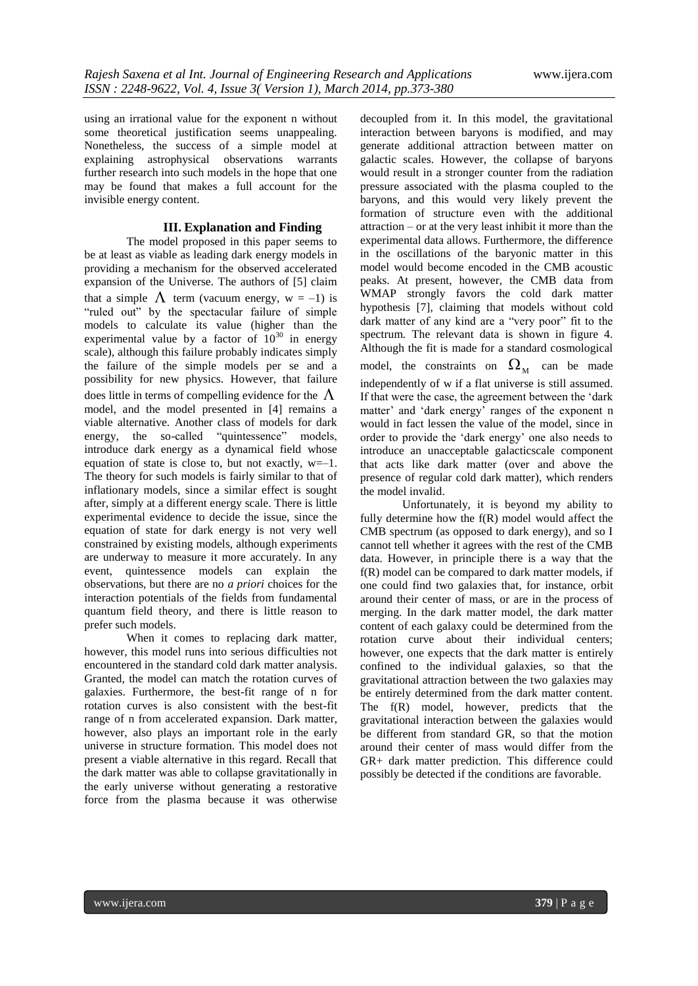using an irrational value for the exponent n without some theoretical justification seems unappealing. Nonetheless, the success of a simple model at explaining astrophysical observations warrants further research into such models in the hope that one may be found that makes a full account for the invisible energy content.

#### **III. Explanation and Finding**

The model proposed in this paper seems to be at least as viable as leading dark energy models in providing a mechanism for the observed accelerated expansion of the Universe. The authors of [5] claim that a simple  $\Lambda$  term (vacuum energy, w = -1) is "ruled out" by the spectacular failure of simple models to calculate its value (higher than the experimental value by a factor of  $10^{30}$  in energy scale), although this failure probably indicates simply the failure of the simple models per se and a possibility for new physics. However, that failure does little in terms of compelling evidence for the  $\Lambda$ model, and the model presented in [4] remains a viable alternative. Another class of models for dark energy, the so-called "quintessence" models, introduce dark energy as a dynamical field whose equation of state is close to, but not exactly,  $w=-1$ . The theory for such models is fairly similar to that of inflationary models, since a similar effect is sought after, simply at a different energy scale. There is little experimental evidence to decide the issue, since the equation of state for dark energy is not very well constrained by existing models, although experiments are underway to measure it more accurately. In any event, quintessence models can explain the observations, but there are no *a priori* choices for the interaction potentials of the fields from fundamental quantum field theory, and there is little reason to prefer such models.

When it comes to replacing dark matter, however, this model runs into serious difficulties not encountered in the standard cold dark matter analysis. Granted, the model can match the rotation curves of galaxies. Furthermore, the best-fit range of n for rotation curves is also consistent with the best-fit range of n from accelerated expansion. Dark matter, however, also plays an important role in the early universe in structure formation. This model does not present a viable alternative in this regard. Recall that the dark matter was able to collapse gravitationally in the early universe without generating a restorative force from the plasma because it was otherwise

decoupled from it. In this model, the gravitational interaction between baryons is modified, and may generate additional attraction between matter on galactic scales. However, the collapse of baryons would result in a stronger counter from the radiation pressure associated with the plasma coupled to the baryons, and this would very likely prevent the formation of structure even with the additional attraction – or at the very least inhibit it more than the experimental data allows. Furthermore, the difference in the oscillations of the baryonic matter in this model would become encoded in the CMB acoustic peaks. At present, however, the CMB data from WMAP strongly favors the cold dark matter hypothesis [7], claiming that models without cold dark matter of any kind are a "very poor" fit to the spectrum. The relevant data is shown in figure 4. Although the fit is made for a standard cosmological model, the constraints on  $\Omega_{\text{M}}$  can be made independently of w if a flat universe is still assumed. If that were the case, the agreement between the "dark matter' and 'dark energy' ranges of the exponent n would in fact lessen the value of the model, since in order to provide the "dark energy" one also needs to introduce an unacceptable galacticscale component that acts like dark matter (over and above the presence of regular cold dark matter), which renders the model invalid.

Unfortunately, it is beyond my ability to fully determine how the f(R) model would affect the CMB spectrum (as opposed to dark energy), and so I cannot tell whether it agrees with the rest of the CMB data. However, in principle there is a way that the f(R) model can be compared to dark matter models, if one could find two galaxies that, for instance, orbit around their center of mass, or are in the process of merging. In the dark matter model, the dark matter content of each galaxy could be determined from the rotation curve about their individual centers; however, one expects that the dark matter is entirely confined to the individual galaxies, so that the gravitational attraction between the two galaxies may be entirely determined from the dark matter content. The f(R) model, however, predicts that the gravitational interaction between the galaxies would be different from standard GR, so that the motion around their center of mass would differ from the GR+ dark matter prediction. This difference could possibly be detected if the conditions are favorable.